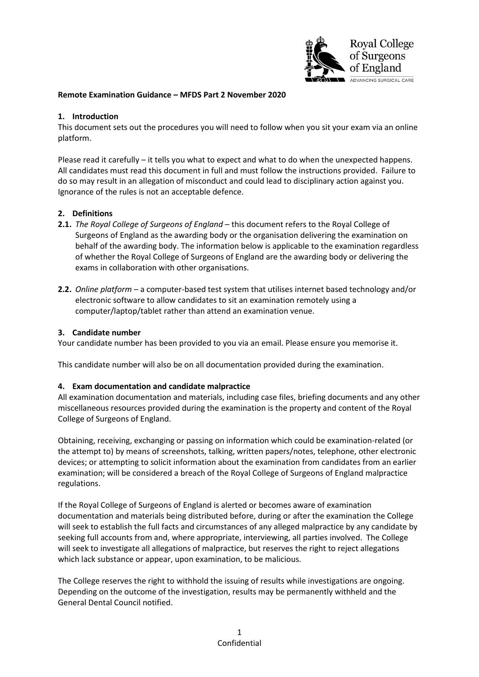

## **Remote Examination Guidance – MFDS Part 2 November 2020**

### **1. Introduction**

This document sets out the procedures you will need to follow when you sit your exam via an online platform.

Please read it carefully – it tells you what to expect and what to do when the unexpected happens. All candidates must read this document in full and must follow the instructions provided. Failure to do so may result in an allegation of misconduct and could lead to disciplinary action against you. Ignorance of the rules is not an acceptable defence.

#### **2. Definitions**

- **2.1.** *The Royal College of Surgeons of England* this document refers to the Royal College of Surgeons of England as the awarding body or the organisation delivering the examination on behalf of the awarding body. The information below is applicable to the examination regardless of whether the Royal College of Surgeons of England are the awarding body or delivering the exams in collaboration with other organisations.
- **2.2.** *Online platform* a computer-based test system that utilises internet based technology and/or electronic software to allow candidates to sit an examination remotely using a computer/laptop/tablet rather than attend an examination venue.

#### **3. Candidate number**

Your candidate number has been provided to you via an email. Please ensure you memorise it.

This candidate number will also be on all documentation provided during the examination.

#### **4. Exam documentation and candidate malpractice**

All examination documentation and materials, including case files, briefing documents and any other miscellaneous resources provided during the examination is the property and content of the Royal College of Surgeons of England.

Obtaining, receiving, exchanging or passing on information which could be examination-related (or the attempt to) by means of screenshots, talking, written papers/notes, telephone, other electronic devices; or attempting to solicit information about the examination from candidates from an earlier examination; will be considered a breach of the Royal College of Surgeons of England malpractice regulations.

If the Royal College of Surgeons of England is alerted or becomes aware of examination documentation and materials being distributed before, during or after the examination the College will seek to establish the full facts and circumstances of any alleged malpractice by any candidate by seeking full accounts from and, where appropriate, interviewing, all parties involved. The College will seek to investigate all allegations of malpractice, but reserves the right to reject allegations which lack substance or appear, upon examination, to be malicious.

The College reserves the right to withhold the issuing of results while investigations are ongoing. Depending on the outcome of the investigation, results may be permanently withheld and the General Dental Council notified.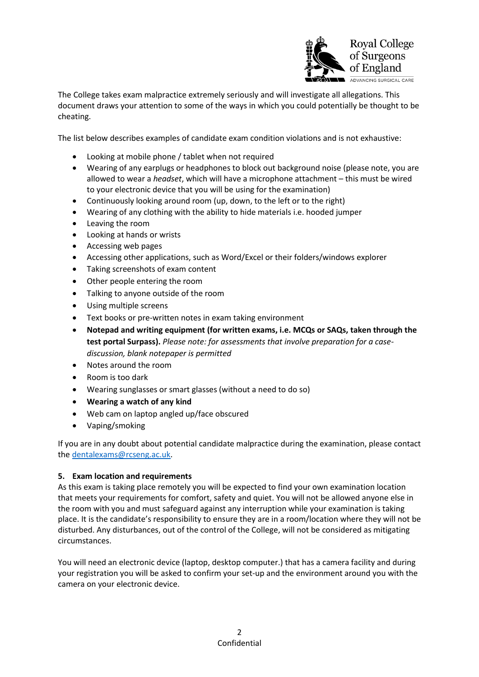

The College takes exam malpractice extremely seriously and will investigate all allegations. This document draws your attention to some of the ways in which you could potentially be thought to be cheating.

The list below describes examples of candidate exam condition violations and is not exhaustive:

- Looking at mobile phone / tablet when not required
- Wearing of any earplugs or headphones to block out background noise (please note, you are allowed to wear a *headset*, which will have a microphone attachment – this must be wired to your electronic device that you will be using for the examination)
- Continuously looking around room (up, down, to the left or to the right)
- Wearing of any clothing with the ability to hide materials i.e. hooded jumper
- Leaving the room
- Looking at hands or wrists
- Accessing web pages
- Accessing other applications, such as Word/Excel or their folders/windows explorer
- Taking screenshots of exam content
- Other people entering the room
- Talking to anyone outside of the room
- Using multiple screens
- Text books or pre-written notes in exam taking environment
- **Notepad and writing equipment (for written exams, i.e. MCQs or SAQs, taken through the test portal Surpass).** *Please note: for assessments that involve preparation for a casediscussion, blank notepaper is permitted*
- Notes around the room
- Room is too dark
- Wearing sunglasses or smart glasses (without a need to do so)
- **Wearing a watch of any kind**
- Web cam on laptop angled up/face obscured
- Vaping/smoking

If you are in any doubt about potential candidate malpractice during the examination, please contact th[e dentalexams@rcseng.ac.uk.](mailto:dentalexams@rcseng.ac.uk)

#### **5. Exam location and requirements**

As this exam is taking place remotely you will be expected to find your own examination location that meets your requirements for comfort, safety and quiet. You will not be allowed anyone else in the room with you and must safeguard against any interruption while your examination is taking place. It is the candidate's responsibility to ensure they are in a room/location where they will not be disturbed. Any disturbances, out of the control of the College, will not be considered as mitigating circumstances.

You will need an electronic device (laptop, desktop computer.) that has a camera facility and during your registration you will be asked to confirm your set-up and the environment around you with the camera on your electronic device.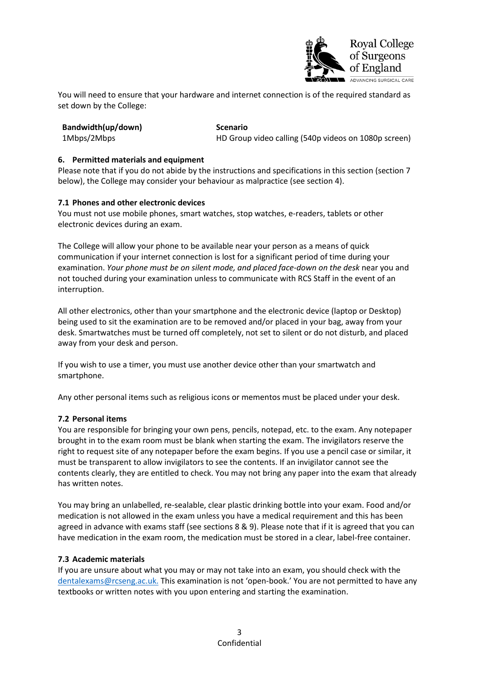

You will need to ensure that your hardware and internet connection is of the required standard as set down by the College:

|  | Bandwidth(up/down) |
|--|--------------------|
|  |                    |

### **Scenario**

1Mbps/2Mbps HD Group video calling (540p videos on 1080p screen)

# **6. Permitted materials and equipment**

Please note that if you do not abide by the instructions and specifications in this section (section 7 below), the College may consider your behaviour as malpractice (see section 4).

# **7.1 Phones and other electronic devices**

You must not use mobile phones, smart watches, stop watches, e-readers, tablets or other electronic devices during an exam.

The College will allow your phone to be available near your person as a means of quick communication if your internet connection is lost for a significant period of time during your examination. *Your phone must be on silent mode, and placed face-down on the desk* near you and not touched during your examination unless to communicate with RCS Staff in the event of an interruption.

All other electronics, other than your smartphone and the electronic device (laptop or Desktop) being used to sit the examination are to be removed and/or placed in your bag, away from your desk. Smartwatches must be turned off completely, not set to silent or do not disturb, and placed away from your desk and person.

If you wish to use a timer, you must use another device other than your smartwatch and smartphone.

Any other personal items such as religious icons or mementos must be placed under your desk.

# **7.2 Personal items**

You are responsible for bringing your own pens, pencils, notepad, etc. to the exam. Any notepaper brought in to the exam room must be blank when starting the exam. The invigilators reserve the right to request site of any notepaper before the exam begins. If you use a pencil case or similar, it must be transparent to allow invigilators to see the contents. If an invigilator cannot see the contents clearly, they are entitled to check. You may not bring any paper into the exam that already has written notes.

You may bring an unlabelled, re-sealable, clear plastic drinking bottle into your exam. Food and/or medication is not allowed in the exam unless you have a medical requirement and this has been agreed in advance with exams staff (see sections 8 & 9). Please note that if it is agreed that you can have medication in the exam room, the medication must be stored in a clear, label-free container.

#### **7.3 Academic materials**

If you are unsure about what you may or may not take into an exam, you should check with the [dentalexams@rcseng.ac.uk.](mailto:dentalexams@rcseng.ac.uk) This examination is not 'open-book.' You are not permitted to have any textbooks or written notes with you upon entering and starting the examination.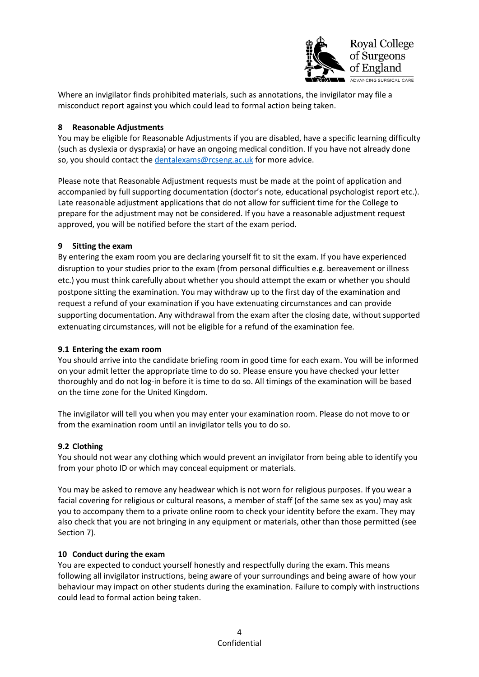

Where an invigilator finds prohibited materials, such as annotations, the invigilator may file a misconduct report against you which could lead to formal action being taken.

# **8 Reasonable Adjustments**

You may be eligible for Reasonable Adjustments if you are disabled, have a specific learning difficulty (such as dyslexia or dyspraxia) or have an ongoing medical condition. If you have not already done so, you should contact the [dentalexams@rcseng.ac.uk](mailto:dentalexams@rcseng.ac.uk) for more advice.

Please note that Reasonable Adjustment requests must be made at the point of application and accompanied by full supporting documentation (doctor's note, educational psychologist report etc.). Late reasonable adjustment applications that do not allow for sufficient time for the College to prepare for the adjustment may not be considered. If you have a reasonable adjustment request approved, you will be notified before the start of the exam period.

### **9 Sitting the exam**

By entering the exam room you are declaring yourself fit to sit the exam. If you have experienced disruption to your studies prior to the exam (from personal difficulties e.g. bereavement or illness etc.) you must think carefully about whether you should attempt the exam or whether you should postpone sitting the examination. You may withdraw up to the first day of the examination and request a refund of your examination if you have extenuating circumstances and can provide supporting documentation. Any withdrawal from the exam after the closing date, without supported extenuating circumstances, will not be eligible for a refund of the examination fee.

# **9.1 Entering the exam room**

You should arrive into the candidate briefing room in good time for each exam. You will be informed on your admit letter the appropriate time to do so. Please ensure you have checked your letter thoroughly and do not log-in before it is time to do so. All timings of the examination will be based on the time zone for the United Kingdom.

The invigilator will tell you when you may enter your examination room. Please do not move to or from the examination room until an invigilator tells you to do so.

# **9.2 Clothing**

You should not wear any clothing which would prevent an invigilator from being able to identify you from your photo ID or which may conceal equipment or materials.

You may be asked to remove any headwear which is not worn for religious purposes. If you wear a facial covering for religious or cultural reasons, a member of staff (of the same sex as you) may ask you to accompany them to a private online room to check your identity before the exam. They may also check that you are not bringing in any equipment or materials, other than those permitted (see Section 7).

#### **10 Conduct during the exam**

You are expected to conduct yourself honestly and respectfully during the exam. This means following all invigilator instructions, being aware of your surroundings and being aware of how your behaviour may impact on other students during the examination. Failure to comply with instructions could lead to formal action being taken.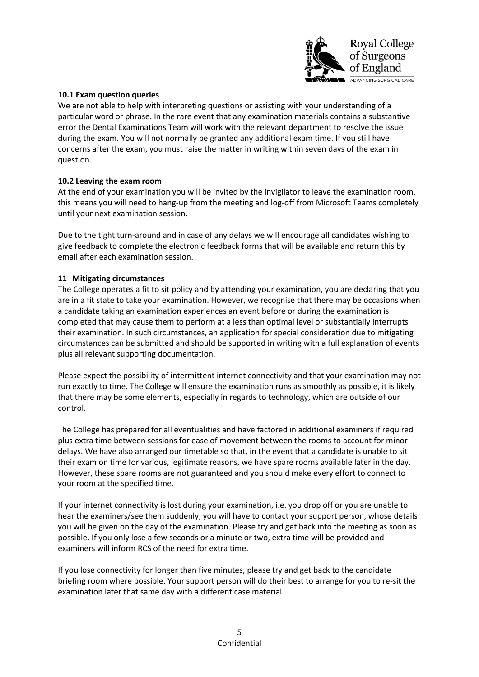

### **10.1 Exam question queries**

We are not able to help with interpreting questions or assisting with your understanding of a particular word or phrase. In the rare event that any examination materials contains a substantive error the Dental Examinations Team will work with the relevant department to resolve the issue during the exam. You will not normally be granted any additional exam time. If you still have concerns after the exam, you must raise the matter in writing within seven days of the exam in question.

# **10.2 Leaving the exam room**

At the end of your examination you will be invited by the invigilator to leave the examination room, this means you will need to hang-up from the meeting and log-off from Microsoft Teams completely until your next examination session.

Due to the tight turn-around and in case of any delays we will encourage all candidates wishing to give feedback to complete the electronic feedback forms that will be available and return this by email after each examination session.

### **11 Mitigating circumstances**

The College operates a fit to sit policy and by attending your examination, you are declaring that you are in a fit state to take your examination. However, we recognise that there may be occasions when a candidate taking an examination experiences an event before or during the examination is completed that may cause them to perform at a less than optimal level or substantially interrupts their examination. In such circumstances, an application for special consideration due to mitigating circumstances can be submitted and should be supported in writing with a full explanation of events plus all relevant supporting documentation.

Please expect the possibility of intermittent internet connectivity and that your examination may not run exactly to time. The College will ensure the examination runs as smoothly as possible, it is likely that there may be some elements, especially in regards to technology, which are outside of our control.

The College has prepared for all eventualities and have factored in additional examiners if required plus extra time between sessions for ease of movement between the rooms to account for minor delays. We have also arranged our timetable so that, in the event that a candidate is unable to sit their exam on time for various, legitimate reasons, we have spare rooms available later in the day. However, these spare rooms are not guaranteed and you should make every effort to connect to your room at the specified time.

If your internet connectivity is lost during your examination, i.e. you drop off or you are unable to hear the examiners/see them suddenly, you will have to contact your support person, whose details you will be given on the day of the examination. Please try and get back into the meeting as soon as possible. If you only lose a few seconds or a minute or two, extra time will be provided and examiners will inform RCS of the need for extra time.

If you lose connectivity for longer than five minutes, please try and get back to the candidate briefing room where possible. Your support person will do their best to arrange for you to re-sit the examination later that same day with a different case material.